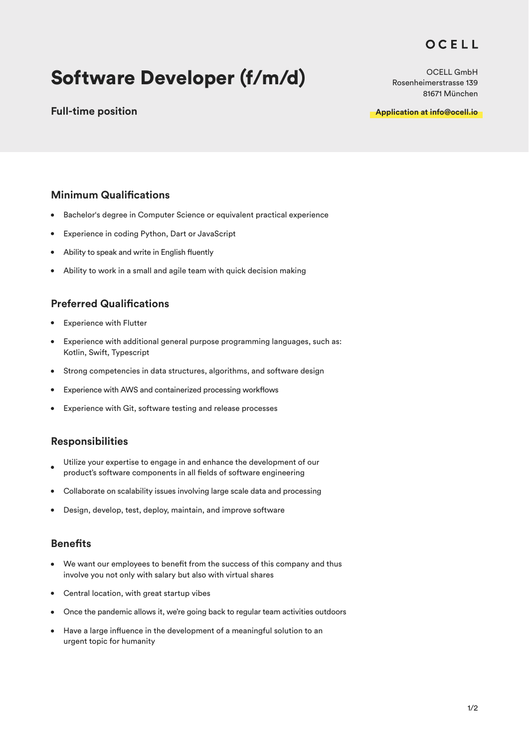# OCELL

# Software Developer (f/m/d)

### **Full-time position**

OCELL GmbH Rosenheimerstrasse 139 81671 München

**Application at info@ocell.io**

### **Minimum Qualifications**

- $\bullet$ Bachelor's degree in Computer Science or equivalent practical experience
- Experience in coding Python, Dart or JavaScript  $\bullet$
- Ability to speak and write in English fluently
- Ability to work in a small and agile team with quick decision making  $\bullet$

#### **Preferred Qualifications**

- Experience with Flutter  $\bullet$
- $\bullet$ Experience with additional general purpose programming languages, such as: Kotlin, Swift, Typescript
- Strong competencies in data structures, algorithms, and software design  $\bullet$
- Experience with AWS and containerized processing workflows  $\bullet$
- Experience with Git, software testing and release processes  $\bullet$

#### **Responsibilities**

- Utilize your expertise to engage in and enhance the development of our product's software components in all fields of software engineering
- Collaborate on scalability issues involving large scale data and processing
- $\bullet$ Design, develop, test, deploy, maintain, and improve software

#### **Benefits**

- $\bullet$ We want our employees to benefit from the success of this company and thus involve you not only with salary but also with virtual shares
- Central location, with great startup vibes
- Once the pandemic allows it, we're going back to regular team activities outdoors
- Have a large influence in the development of a meaningful solution to an urgent topic for humanity